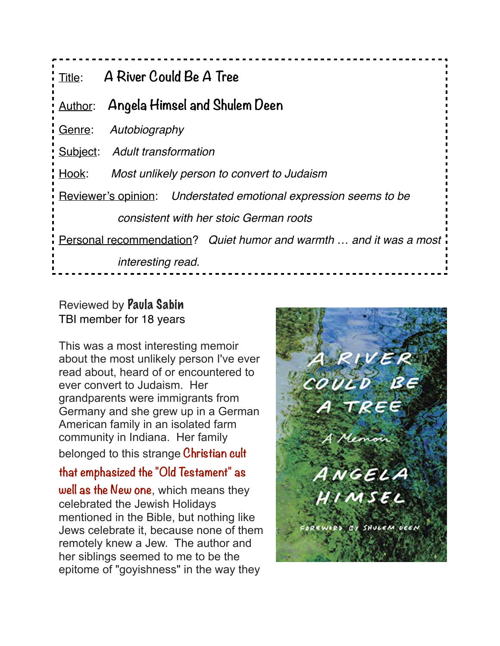| Title:                                                              | A River Could Be A Tree                                          |
|---------------------------------------------------------------------|------------------------------------------------------------------|
| Author:                                                             | Angela Himsel and Shulem Deen                                    |
| Genre:                                                              | Autobiography                                                    |
|                                                                     | Subject: Adult transformation                                    |
| Hook:                                                               | Most unlikely person to convert to Judaism                       |
|                                                                     | Reviewer's opinion: Understated emotional expression seems to be |
| consistent with her stoic German roots                              |                                                                  |
| Personal recommendation? Quiet humor and warmth  and it was a most. |                                                                  |
|                                                                     | <i>interesting read.</i>                                         |

## Reviewed by Paula Sabin TBI member for 18 years

This was a most interesting memoir about the most unlikely person I've ever read about, heard of or encountered to ever convert to Judaism. Her grandparents were immigrants from Germany and she grew up in a German American family in an isolated farm community in Indiana. Her family belonged to this strange **Christian cult** 

**that emphasized the "Old Testament" as well as the New one**, which means they celebrated the Jewish Holidays mentioned in the Bible, but nothing like Jews celebrate it, because none of them remotely knew a Jew. The author and her siblings seemed to me to be the epitome of "goyishness" in the way they